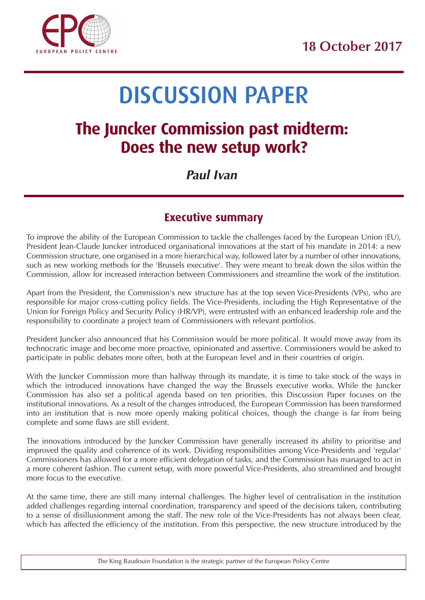

# DISCUSSION PAPER

## **The Juncker Commission past midterm: Does the new setup work?**

## *Paul Ivan*

## **Executive summary**

To improve the ability of the European Commission to tackle the challenges faced by the European Union (EU), President Jean-Claude Juncker introduced organisational innovations at the start of his mandate in 2014: a new Commission structure, one organised in a more hierarchical way, followed later by a number of other innovations, such as new working methods for the 'Brussels executive'. They were meant to break down the silos within the Commission, allow for increased interaction between Commissioners and streamline the work of the institution.

Apart from the President, the Commission's new structure has at the top seven Vice-Presidents (VPs), who are responsible for major cross-cutting policy fields. The Vice-Presidents, including the High Representative of the Union for Foreign Policy and Security Policy (HR/VP), were entrusted with an enhanced leadership role and the responsibility to coordinate a project team of Commissioners with relevant portfolios.

President Juncker also announced that his Commission would be more political. It would move away from its technocratic image and become more proactive, opinionated and assertive. Commissioners would be asked to participate in public debates more often, both at the European level and in their countries of origin.

With the Juncker Commission more than halfway through its mandate, it is time to take stock of the ways in which the introduced innovations have changed the way the Brussels executive works. While the Juncker Commission has also set a political agenda based on ten priorities, this Discussion Paper focuses on the institutional innovations. As a result of the changes introduced, the European Commission has been transformed into an institution that is now more openly making political choices, though the change is far from being complete and some flaws are still evident.

The innovations introduced by the Juncker Commission have generally increased its ability to prioritise and improved the quality and coherence of its work. Dividing responsibilities among Vice-Presidents and 'regular' Commissioners has allowed for a more efficient delegation of tasks, and the Commission has managed to act in a more coherent fashion. The current setup, with more powerful Vice-Presidents, also streamlined and brought more focus to the executive.

At the same time, there are still many internal challenges. The higher level of centralisation in the institution added challenges regarding internal coordination, transparency and speed of the decisions taken, contributing to a sense of disillusionment among the staff. The new role of the Vice-Presidents has not always been clear, which has affected the efficiency of the institution. From this perspective, the new structure introduced by the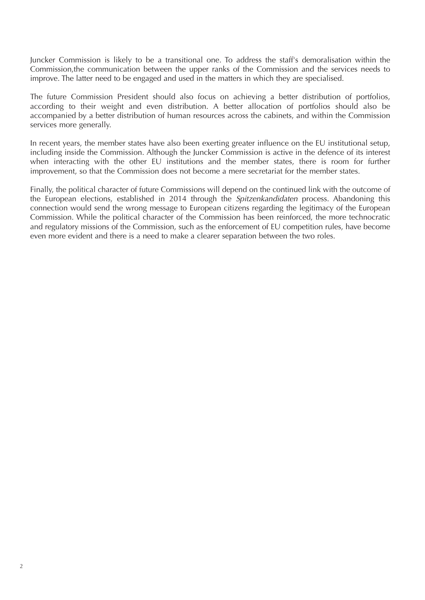Juncker Commission is likely to be a transitional one. To address the staff's demoralisation within the Commission,the communication between the upper ranks of the Commission and the services needs to improve. The latter need to be engaged and used in the matters in which they are specialised.

The future Commission President should also focus on achieving a better distribution of portfolios, according to their weight and even distribution. A better allocation of portfolios should also be accompanied by a better distribution of human resources across the cabinets, and within the Commission services more generally.

In recent years, the member states have also been exerting greater influence on the EU institutional setup, including inside the Commission. Although the Juncker Commission is active in the defence of its interest when interacting with the other EU institutions and the member states, there is room for further improvement, so that the Commission does not become a mere secretariat for the member states.

Finally, the political character of future Commissions will depend on the continued link with the outcome of the European elections, established in 2014 through the Spitzenkandidaten process. Abandoning this connection would send the wrong message to European citizens regarding the legitimacy of the European Commission. While the political character of the Commission has been reinforced, the more technocratic and regulatory missions of the Commission, such as the enforcement of EU competition rules, have become even more evident and there is a need to make a clearer separation between the two roles.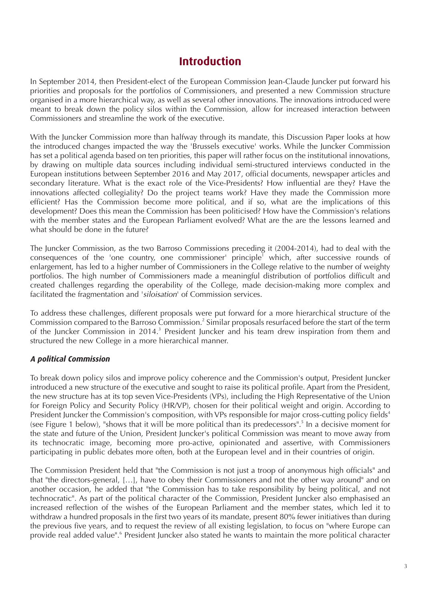## **Introduction**

In September 2014, then President-elect of the European Commission Jean-Claude Juncker put forward his priorities and proposals for the portfolios of Commissioners, and presented a new Commission structure organised in a more hierarchical way, as well as several other innovations. The innovations introduced were meant to break down the policy silos within the Commission, allow for increased interaction between Commissioners and streamline the work of the executive.

With the Juncker Commission more than halfway through its mandate, this Discussion Paper looks at how the introduced changes impacted the way the 'Brussels executive' works. While the Juncker Commission has set a political agenda based on ten priorities, this paper will rather focus on the institutional innovations, by drawing on multiple data sources including individual semi-structured interviews conducted in the European institutions between September 2016 and May 2017, official documents, newspaper articles and secondary literature. What is the exact role of the Vice-Presidents? How influential are they? Have the innovations affected collegiality? Do the project teams work? Have they made the Commission more efficient? Has the Commission become more political, and if so, what are the implications of this development? Does this mean the Commission has been politicised? How have the Commission's relations with the member states and the European Parliament evolved? What are the are the lessons learned and what should be done in the future?

The Juncker Commission, as the two Barroso Commissions preceding it (2004-2014), had to deal with the consequences of the 'one country, one commissioner' principle<sup> $\bar{i}$ </sup> which, after successive rounds of enlargement, has led to a higher number of Commissioners in the College relative to the number of weighty portfolios. The high number of Commissioners made a meaningful distribution of portfolios difficult and created challenges regarding the operability of the College, made decision-making more complex and facilitated the fragmentation and 'siloisation' of Commission services.

To address these challenges, different proposals were put forward for a more hierarchical structure of the Commission compared to the Barroso Commission.2 Similar proposals resurfaced before the start of the term of the Juncker Commission in 2014.3 President Juncker and his team drew inspiration from them and structured the new College in a more hierarchical manner.

### **A political Commission**

To break down policy silos and improve policy coherence and the Commission's output, President Juncker introduced a new structure of the executive and sought to raise its political profile. Apart from the President, the new structure has at its top seven Vice-Presidents (VPs), including the High Representative of the Union for Foreign Policy and Security Policy (HR/VP), chosen for their political weight and origin. According to President Juncker the Commission's composition, with VPs responsible for major cross-cutting policy fields<sup>4</sup> (see Figure 1 below), "shows that it will be more political than its predecessors".5 In a decisive moment for the state and future of the Union, President Juncker's political Commission was meant to move away from its technocratic image, becoming more pro-active, opinionated and assertive, with Commissioners participating in public debates more often, both at the European level and in their countries of origin.

The Commission President held that "the Commission is not just a troop of anonymous high officials" and that "the directors-general, […], have to obey their Commissioners and not the other way around" and on another occasion, he added that "the Commission has to take responsibility by being political, and not technocratic". As part of the political character of the Commission, President Juncker also emphasised an increased reflection of the wishes of the European Parliament and the member states, which led it to withdraw a hundred proposals in the first two years of its mandate, present 80% fewer initiatives than during the previous five years, and to request the review of all existing legislation, to focus on "where Europe can provide real added value".<sup>6</sup> President Juncker also stated he wants to maintain the more political character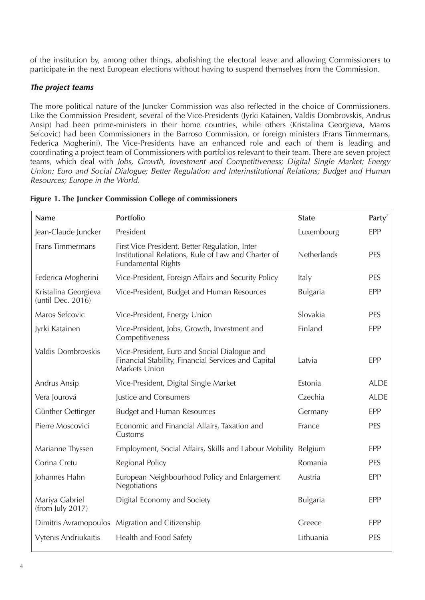of the institution by, among other things, abolishing the electoral leave and allowing Commissioners to participate in the next European elections without having to suspend themselves from the Commission.

#### **The project teams**

The more political nature of the Juncker Commission was also reflected in the choice of Commissioners. Like the Commission President, several of the Vice-Presidents (Jyrki Katainen, Valdis Dombrovskis, Andrus Ansip) had been prime-ministers in their home countries, while others (Kristalina Georgieva, Maros Sefcovic) had been Commissioners in the Barroso Commission, or foreign ministers (Frans Timmermans, Federica Mogherini). The Vice-Presidents have an enhanced role and each of them is leading and coordinating a project team of Commissioners with portfolios relevant to their team. There are seven project teams, which deal with Jobs, Growth, Investment and Competitiveness; Digital Single Market; Energy Union; Euro and Social Dialogue; Better Regulation and Interinstitutional Relations; Budget and Human Resources; Europe in the World.

| <b>Name</b>                               | Portfolio                                                                                                                           | <b>State</b>    | Party <sup>7</sup> |
|-------------------------------------------|-------------------------------------------------------------------------------------------------------------------------------------|-----------------|--------------------|
| Jean-Claude Juncker                       | President                                                                                                                           | Luxembourg      | EPP                |
| Frans Timmermans                          | First Vice-President, Better Regulation, Inter-<br>Institutional Relations, Rule of Law and Charter of<br><b>Fundamental Rights</b> | Netherlands     | PES                |
| Federica Mogherini                        | Vice-President, Foreign Affairs and Security Policy                                                                                 | Italy           | PES                |
| Kristalina Georgieva<br>(until Dec. 2016) | Vice-President, Budget and Human Resources                                                                                          | <b>Bulgaria</b> | EPP                |
| Maros Sefcovic                            | Vice-President, Energy Union                                                                                                        | Slovakia        | PES                |
| Jyrki Katainen                            | Vice-President, Jobs, Growth, Investment and<br>Competitiveness                                                                     | Finland         | EPP                |
| Valdis Dombrovskis                        | Vice-President, Euro and Social Dialogue and<br>Financial Stability, Financial Services and Capital<br>Markets Union                | Latvia          | EPP                |
| Andrus Ansip                              | Vice-President, Digital Single Market                                                                                               | Estonia         | <b>ALDE</b>        |
| Vera Jourová                              | Justice and Consumers                                                                                                               | Czechia         | <b>ALDE</b>        |
| Günther Oettinger                         | <b>Budget and Human Resources</b>                                                                                                   | Germany         | <b>EPP</b>         |
| Pierre Moscovici                          | Economic and Financial Affairs, Taxation and<br>Customs                                                                             | France          | PES                |
| Marianne Thyssen                          | Employment, Social Affairs, Skills and Labour Mobility                                                                              | Belgium         | <b>EPP</b>         |
| Corina Cretu                              | Regional Policy                                                                                                                     | Romania         | PES                |
| Johannes Hahn                             | European Neighbourhood Policy and Enlargement<br>Negotiations                                                                       | Austria         | EPP                |
| Mariya Gabriel<br>(from July 2017)        | Digital Economy and Society                                                                                                         | Bulgaria        | <b>EPP</b>         |
| Dimitris Avramopoulos                     | Migration and Citizenship                                                                                                           | Greece          | <b>EPP</b>         |
| Vytenis Andriukaitis                      | Health and Food Safety                                                                                                              | Lithuania       | PES                |

**Figure 1. The Juncker Commission College of commissioners**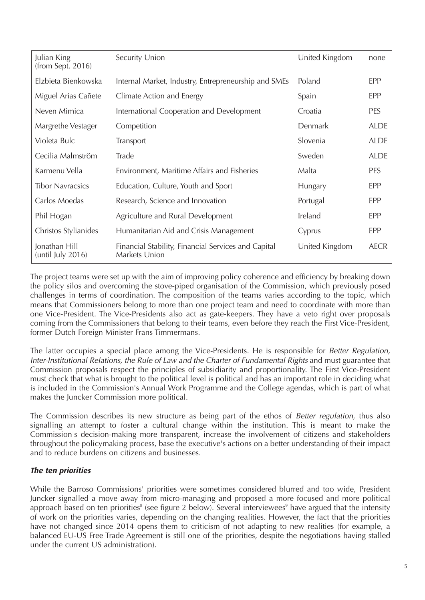| Julian King<br>(from Sept. 2016)   | Security Union                                                       | United Kingdom | none        |
|------------------------------------|----------------------------------------------------------------------|----------------|-------------|
| Elzbieta Bienkowska                | Internal Market, Industry, Entrepreneurship and SMEs                 | Poland         | EPP         |
| Miguel Arias Cañete                | Climate Action and Energy                                            | Spain          | EPP         |
| Neven Mimica                       | International Cooperation and Development                            | Croatia        | <b>PES</b>  |
| Margrethe Vestager                 | Competition                                                          | Denmark        | <b>ALDE</b> |
| Violeta Bulc                       | Transport                                                            | Slovenia       | <b>ALDE</b> |
| Cecilia Malmström                  | Trade                                                                | Sweden         | <b>ALDE</b> |
| Karmenu Vella                      | Environment, Maritime Affairs and Fisheries                          | Malta          | PES         |
| <b>Tibor Navracsics</b>            | Education, Culture, Youth and Sport                                  | Hungary        | EPP         |
| Carlos Moedas                      | Research, Science and Innovation                                     | Portugal       | <b>EPP</b>  |
| Phil Hogan                         | Agriculture and Rural Development                                    | Ireland        | <b>EPP</b>  |
| Christos Stylianides               | Humanitarian Aid and Crisis Management                               | Cyprus         | <b>EPP</b>  |
| Jonathan Hill<br>(until July 2016) | Financial Stability, Financial Services and Capital<br>Markets Union | United Kingdom | <b>AECR</b> |

The project teams were set up with the aim of improving policy coherence and efficiency by breaking down the policy silos and overcoming the stove-piped organisation of the Commission, which previously posed challenges in terms of coordination. The composition of the teams varies according to the topic, which means that Commissioners belong to more than one project team and need to coordinate with more than one Vice-President. The Vice-Presidents also act as gate-keepers. They have a veto right over proposals coming from the Commissioners that belong to their teams, even before they reach the First Vice-President, former Dutch Foreign Minister Frans Timmermans.

The latter occupies a special place among the Vice-Presidents. He is responsible for Better Regulation, Inter-Institutional Relations, the Rule of Law and the Charter of Fundamental Rights and must guarantee that Commission proposals respect the principles of subsidiarity and proportionality. The First Vice-President must check that what is brought to the political level is political and has an important role in deciding what is included in the Commission's Annual Work Programme and the College agendas, which is part of what makes the Juncker Commission more political.

The Commission describes its new structure as being part of the ethos of Better regulation, thus also signalling an attempt to foster a cultural change within the institution. This is meant to make the Commission's decision-making more transparent, increase the involvement of citizens and stakeholders throughout the policymaking process, base the executive's actions on a better understanding of their impact and to reduce burdens on citizens and businesses.

### **The ten priorities**

While the Barroso Commissions' priorities were sometimes considered blurred and too wide, President Juncker signalled a move away from micro-managing and proposed a more focused and more political approach based on ten priorities<sup>8</sup> (see figure 2 below). Several interviewees<sup>9</sup> have argued that the intensity of work on the priorities varies, depending on the changing realities. However, the fact that the priorities have not changed since 2014 opens them to criticism of not adapting to new realities (for example, a balanced EU-US Free Trade Agreement is still one of the priorities, despite the negotiations having stalled under the current US administration).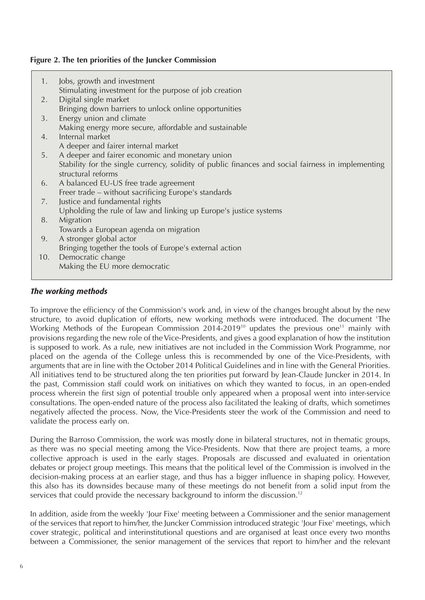#### **Figure 2. The ten priorities of the Juncker Commission**

1. Jobs, growth and investment Stimulating investment for the purpose of job creation 2. Digital single market Bringing down barriers to unlock online opportunities 3. Energy union and climate Making energy more secure, affordable and sustainable 4. Internal market A deeper and fairer internal market 5. A deeper and fairer economic and monetary union Stability for the single currency, solidity of public finances and social fairness in implementing structural reforms 6. A balanced EU-US free trade agreement Freer trade – without sacrificing Europe's standards 7. Justice and fundamental rights Upholding the rule of law and linking up Europe's justice systems 8. Migration Towards a European agenda on migration 9. A stronger global actor Bringing together the tools of Europe's external action 10. Democratic change Making the EU more democratic

#### **The working methods**

To improve the efficiency of the Commission's work and, in view of the changes brought about by the new structure, to avoid duplication of efforts, new working methods were introduced. The document 'The Working Methods of the European Commission 2014-2019<sup>10</sup> updates the previous one<sup>11</sup> mainly with provisions regarding the new role of the Vice-Presidents, and gives a good explanation of how the institution is supposed to work. As a rule, new initiatives are not included in the Commission Work Programme, nor placed on the agenda of the College unless this is recommended by one of the Vice-Presidents, with arguments that are in line with the October 2014 Political Guidelines and in line with the General Priorities. All initiatives tend to be structured along the ten priorities put forward by Jean-Claude Juncker in 2014. In the past, Commission staff could work on initiatives on which they wanted to focus, in an open-ended process wherein the first sign of potential trouble only appeared when a proposal went into inter-service consultations. The open-ended nature of the process also facilitated the leaking of drafts, which sometimes negatively affected the process. Now, the Vice-Presidents steer the work of the Commission and need to validate the process early on.

During the Barroso Commission, the work was mostly done in bilateral structures, not in thematic groups, as there was no special meeting among the Vice-Presidents. Now that there are project teams, a more collective approach is used in the early stages. Proposals are discussed and evaluated in orientation debates or project group meetings. This means that the political level of the Commission is involved in the decision-making process at an earlier stage, and thus has a bigger influence in shaping policy. However, this also has its downsides because many of these meetings do not benefit from a solid input from the services that could provide the necessary background to inform the discussion.<sup>12</sup>

In addition, aside from the weekly 'Jour Fixe' meeting between a Commissioner and the senior management of the services that report to him/her, the Juncker Commission introduced strategic 'Jour Fixe' meetings, which cover strategic, political and interinstitutional questions and are organised at least once every two months between a Commissioner, the senior management of the services that report to him/her and the relevant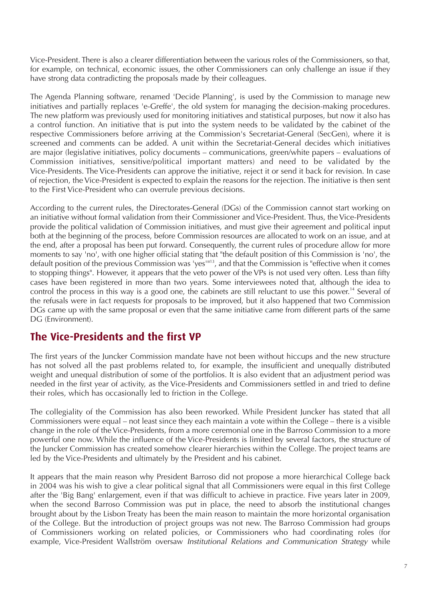Vice-President. There is also a clearer differentiation between the various roles of the Commissioners, so that, for example, on technical, economic issues, the other Commissioners can only challenge an issue if they have strong data contradicting the proposals made by their colleagues.

The Agenda Planning software, renamed 'Decide Planning', is used by the Commission to manage new initiatives and partially replaces 'e-Greffe', the old system for managing the decision-making procedures. The new platform was previously used for monitoring initiatives and statistical purposes, but now it also has a control function. An initiative that is put into the system needs to be validated by the cabinet of the respective Commissioners before arriving at the Commission's Secretariat-General (SecGen), where it is screened and comments can be added. A unit within the Secretariat-General decides which initiatives are major (legislative initiatives, policy documents – communications, green/white papers – evaluations of Commission initiatives, sensitive/political important matters) and need to be validated by the Vice-Presidents. The Vice-Presidents can approve the initiative, reject it or send it back for revision. In case of rejection, the Vice-President is expected to explain the reasons for the rejection. The initiative is then sent to the First Vice-President who can overrule previous decisions.

According to the current rules, the Directorates-General (DGs) of the Commission cannot start working on an initiative without formal validation from their Commissioner and Vice-President. Thus, the Vice-Presidents provide the political validation of Commission initiatives, and must give their agreement and political input both at the beginning of the process, before Commission resources are allocated to work on an issue, and at the end, after a proposal has been put forward. Consequently, the current rules of procedure allow for more moments to say 'no', with one higher official stating that "the default position of this Commission is 'no', the default position of the previous Commission was 'yes'"13, and that the Commission is "effective when it comes to stopping things". However, it appears that the veto power of the VPs is not used very often. Less than fifty cases have been registered in more than two years. Some interviewees noted that, although the idea to control the process in this way is a good one, the cabinets are still reluctant to use this power.<sup>14</sup> Several of the refusals were in fact requests for proposals to be improved, but it also happened that two Commission DGs came up with the same proposal or even that the same initiative came from different parts of the same DG (Environment).

## **The Vice-Presidents and the first VP**

The first years of the Juncker Commission mandate have not been without hiccups and the new structure has not solved all the past problems related to, for example, the insufficient and unequally distributed weight and unequal distribution of some of the portfolios. It is also evident that an adjustment period was needed in the first year of activity, as the Vice-Presidents and Commissioners settled in and tried to define their roles, which has occasionally led to friction in the College.

The collegiality of the Commission has also been reworked. While President Juncker has stated that all Commissioners were equal – not least since they each maintain a vote within the College – there is a visible change in the role of the Vice-Presidents, from a more ceremonial one in the Barroso Commission to a more powerful one now. While the influence of the Vice-Presidents is limited by several factors, the structure of the Juncker Commission has created somehow clearer hierarchies within the College. The project teams are led by the Vice-Presidents and ultimately by the President and his cabinet.

It appears that the main reason why President Barroso did not propose a more hierarchical College back in 2004 was his wish to give a clear political signal that all Commissioners were equal in this first College after the 'Big Bang' enlargement, even if that was difficult to achieve in practice. Five years later in 2009, when the second Barroso Commission was put in place, the need to absorb the institutional changes brought about by the Lisbon Treaty has been the main reason to maintain the more horizontal organisation of the College. But the introduction of project groups was not new. The Barroso Commission had groups of Commissioners working on related policies, or Commissioners who had coordinating roles (for example, Vice-President Wallström oversaw Institutional Relations and Communication Strategy while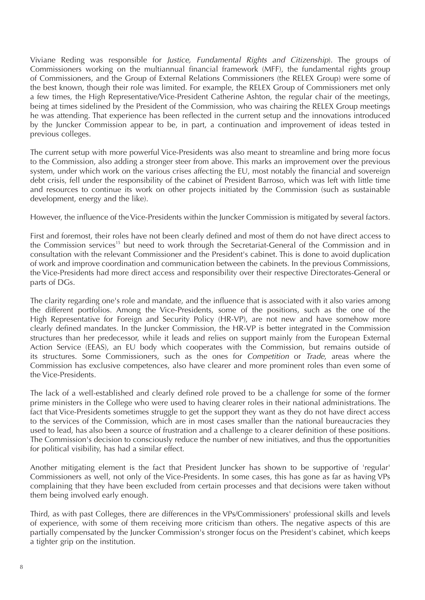Viviane Reding was responsible for Justice, Fundamental Rights and Citizenship). The groups of Commissioners working on the multiannual financial framework (MFF), the fundamental rights group of Commissioners, and the Group of External Relations Commissioners (the RELEX Group) were some of the best known, though their role was limited. For example, the RELEX Group of Commissioners met only a few times, the High Representative/Vice-President Catherine Ashton, the regular chair of the meetings, being at times sidelined by the President of the Commission, who was chairing the RELEX Group meetings he was attending. That experience has been reflected in the current setup and the innovations introduced by the Juncker Commission appear to be, in part, a continuation and improvement of ideas tested in previous colleges.

The current setup with more powerful Vice-Presidents was also meant to streamline and bring more focus to the Commission, also adding a stronger steer from above. This marks an improvement over the previous system, under which work on the various crises affecting the EU, most notably the financial and sovereign debt crisis, fell under the responsibility of the cabinet of President Barroso, which was left with little time and resources to continue its work on other projects initiated by the Commission (such as sustainable development, energy and the like).

However, the influence of the Vice-Presidents within the Juncker Commission is mitigated by several factors.

First and foremost, their roles have not been clearly defined and most of them do not have direct access to the Commission services<sup>15</sup> but need to work through the Secretariat-General of the Commission and in consultation with the relevant Commissioner and the President's cabinet. This is done to avoid duplication of work and improve coordination and communication between the cabinets. In the previous Commissions, the Vice-Presidents had more direct access and responsibility over their respective Directorates-General or parts of DGs.

The clarity regarding one's role and mandate, and the influence that is associated with it also varies among the different portfolios. Among the Vice-Presidents, some of the positions, such as the one of the High Representative for Foreign and Security Policy (HR-VP), are not new and have somehow more clearly defined mandates. In the Juncker Commission, the HR-VP is better integrated in the Commission structures than her predecessor, while it leads and relies on support mainly from the European External Action Service (EEAS), an EU body which cooperates with the Commission, but remains outside of its structures. Some Commissioners, such as the ones for Competition or Trade, areas where the Commission has exclusive competences, also have clearer and more prominent roles than even some of the Vice-Presidents.

The lack of a well-established and clearly defined role proved to be a challenge for some of the former prime ministers in the College who were used to having clearer roles in their national administrations. The fact that Vice-Presidents sometimes struggle to get the support they want as they do not have direct access to the services of the Commission, which are in most cases smaller than the national bureaucracies they used to lead, has also been a source of frustration and a challenge to a clearer definition of these positions. The Commission's decision to consciously reduce the number of new initiatives, and thus the opportunities for political visibility, has had a similar effect.

Another mitigating element is the fact that President Juncker has shown to be supportive of 'regular' Commissioners as well, not only of the Vice-Presidents. In some cases, this has gone as far as having VPs complaining that they have been excluded from certain processes and that decisions were taken without them being involved early enough.

Third, as with past Colleges, there are differences in the VPs/Commissioners' professional skills and levels of experience, with some of them receiving more criticism than others. The negative aspects of this are partially compensated by the Juncker Commission's stronger focus on the President's cabinet, which keeps a tighter grip on the institution.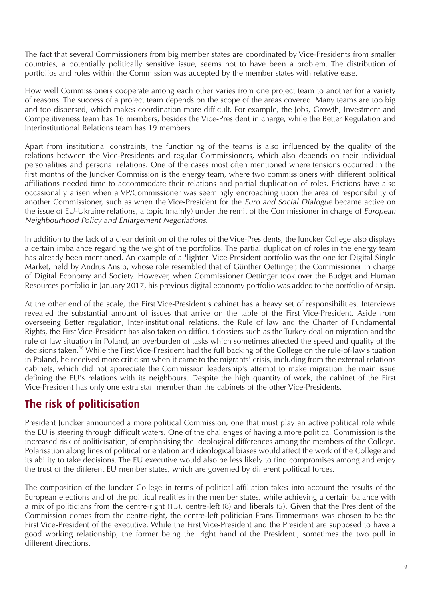The fact that several Commissioners from big member states are coordinated by Vice-Presidents from smaller countries, a potentially politically sensitive issue, seems not to have been a problem. The distribution of portfolios and roles within the Commission was accepted by the member states with relative ease.

How well Commissioners cooperate among each other varies from one project team to another for a variety of reasons. The success of a project team depends on the scope of the areas covered. Many teams are too big and too dispersed, which makes coordination more difficult. For example, the Jobs, Growth, Investment and Competitiveness team has 16 members, besides the Vice-President in charge, while the Better Regulation and Interinstitutional Relations team has 19 members.

Apart from institutional constraints, the functioning of the teams is also influenced by the quality of the relations between the Vice-Presidents and regular Commissioners, which also depends on their individual personalities and personal relations. One of the cases most often mentioned where tensions occurred in the first months of the Juncker Commission is the energy team, where two commissioners with different political affiliations needed time to accommodate their relations and partial duplication of roles. Frictions have also occasionally arisen when a VP/Commissioner was seemingly encroaching upon the area of responsibility of another Commissioner, such as when the Vice-President for the Euro and Social Dialogue became active on the issue of EU-Ukraine relations, a topic (mainly) under the remit of the Commissioner in charge of European Neighbourhood Policy and Enlargement Negotiations.

In addition to the lack of a clear definition of the roles of the Vice-Presidents, the Juncker College also displays a certain imbalance regarding the weight of the portfolios. The partial duplication of roles in the energy team has already been mentioned. An example of a 'lighter' Vice-President portfolio was the one for Digital Single Market, held by Andrus Ansip, whose role resembled that of Günther Oettinger, the Commissioner in charge of Digital Economy and Society. However, when Commissioner Oettinger took over the Budget and Human Resources portfolio in January 2017, his previous digital economy portfolio was added to the portfolio of Ansip.

At the other end of the scale, the First Vice-President's cabinet has a heavy set of responsibilities. Interviews revealed the substantial amount of issues that arrive on the table of the First Vice-President. Aside from overseeing Better regulation, Inter-institutional relations, the Rule of law and the Charter of Fundamental Rights, the First Vice-President has also taken on difficult dossiers such as the Turkey deal on migration and the rule of law situation in Poland, an overburden of tasks which sometimes affected the speed and quality of the decisions taken.<sup>16</sup> While the First Vice-President had the full backing of the College on the rule-of-law situation in Poland, he received more criticism when it came to the migrants' crisis, including from the external relations cabinets, which did not appreciate the Commission leadership's attempt to make migration the main issue defining the EU's relations with its neighbours. Despite the high quantity of work, the cabinet of the First Vice-President has only one extra staff member than the cabinets of the other Vice-Presidents.

## **The risk of politicisation**

President Juncker announced a more political Commission, one that must play an active political role while the EU is steering through difficult waters. One of the challenges of having a more political Commission is the increased risk of politicisation, of emphasising the ideological differences among the members of the College. Polarisation along lines of political orientation and ideological biases would affect the work of the College and its ability to take decisions. The EU executive would also be less likely to find compromises among and enjoy the trust of the different EU member states, which are governed by different political forces.

The composition of the Juncker College in terms of political affiliation takes into account the results of the European elections and of the political realities in the member states, while achieving a certain balance with a mix of politicians from the centre-right (15), centre-left (8) and liberals (5). Given that the President of the Commission comes from the centre-right, the centre-left politician Frans Timmermans was chosen to be the First Vice-President of the executive. While the First Vice-President and the President are supposed to have a good working relationship, the former being the 'right hand of the President', sometimes the two pull in different directions.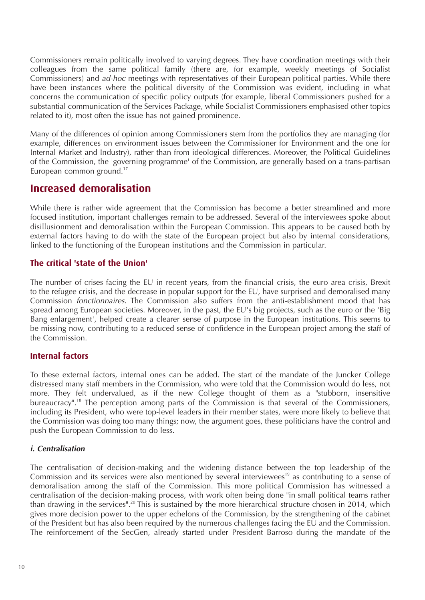Commissioners remain politically involved to varying degrees. They have coordination meetings with their colleagues from the same political family (there are, for example, weekly meetings of Socialist Commissioners) and ad-hoc meetings with representatives of their European political parties. While there have been instances where the political diversity of the Commission was evident, including in what concerns the communication of specific policy outputs (for example, liberal Commissioners pushed for a substantial communication of the Services Package, while Socialist Commissioners emphasised other topics related to it), most often the issue has not gained prominence.

Many of the differences of opinion among Commissioners stem from the portfolios they are managing (for example, differences on environment issues between the Commissioner for Environment and the one for Internal Market and Industry), rather than from ideological differences. Moreover, the Political Guidelines of the Commission, the 'governing programme' of the Commission, are generally based on a trans-partisan European common ground. $17$ 

## **Increased demoralisation**

While there is rather wide agreement that the Commission has become a better streamlined and more focused institution, important challenges remain to be addressed. Several of the interviewees spoke about disillusionment and demoralisation within the European Commission. This appears to be caused both by external factors having to do with the state of the European project but also by internal considerations, linked to the functioning of the European institutions and the Commission in particular.

## **The critical 'state of the Union'**

The number of crises facing the EU in recent years, from the financial crisis, the euro area crisis, Brexit to the refugee crisis, and the decrease in popular support for the EU, have surprised and demoralised many Commission fonctionnaires. The Commission also suffers from the anti-establishment mood that has spread among European societies. Moreover, in the past, the EU's big projects, such as the euro or the 'Big Bang enlargement', helped create a clearer sense of purpose in the European institutions. This seems to be missing now, contributing to a reduced sense of confidence in the European project among the staff of the Commission.

### **Internal factors**

To these external factors, internal ones can be added. The start of the mandate of the Juncker College distressed many staff members in the Commission, who were told that the Commission would do less, not more. They felt undervalued, as if the new College thought of them as a "stubborn, insensitive bureaucracy".<sup>18</sup> The perception among parts of the Commission is that several of the Commissioners, including its President, who were top-level leaders in their member states, were more likely to believe that the Commission was doing too many things; now, the argument goes, these politicians have the control and push the European Commission to do less.

#### *i. Centralisation*

The centralisation of decision-making and the widening distance between the top leadership of the Commission and its services were also mentioned by several interviewees<sup>19</sup> as contributing to a sense of demoralisation among the staff of the Commission. This more political Commission has witnessed a centralisation of the decision-making process, with work often being done "in small political teams rather than drawing in the services".<sup>20</sup> This is sustained by the more hierarchical structure chosen in 2014, which gives more decision power to the upper echelons of the Commission, by the strengthening of the cabinet of the President but has also been required by the numerous challenges facing the EU and the Commission. The reinforcement of the SecGen, already started under President Barroso during the mandate of the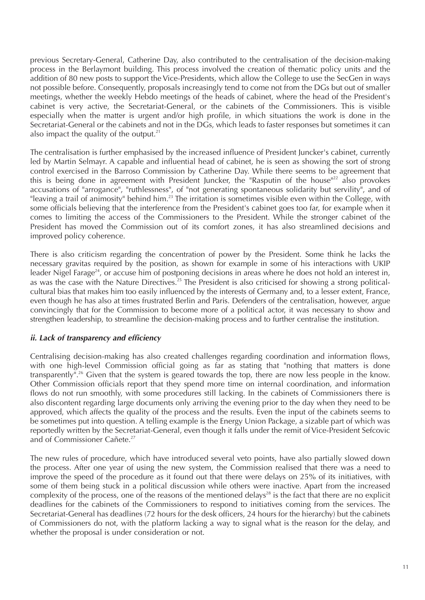previous Secretary-General, Catherine Day, also contributed to the centralisation of the decision-making process in the Berlaymont building. This process involved the creation of thematic policy units and the addition of 80 new posts to support the Vice-Presidents, which allow the College to use the SecGen in ways not possible before. Consequently, proposals increasingly tend to come not from the DGs but out of smaller meetings, whether the weekly Hebdo meetings of the heads of cabinet, where the head of the President's cabinet is very active, the Secretariat-General, or the cabinets of the Commissioners. This is visible especially when the matter is urgent and/or high profile, in which situations the work is done in the Secretariat-General or the cabinets and not in the DGs, which leads to faster responses but sometimes it can also impact the quality of the output.<sup>21</sup>

The centralisation is further emphasised by the increased influence of President Juncker's cabinet, currently led by Martin Selmayr. A capable and influential head of cabinet, he is seen as showing the sort of strong control exercised in the Barroso Commission by Catherine Day. While there seems to be agreement that this is being done in agreement with President Juncker, the "Rasputin of the house"<sup>22</sup> also provokes accusations of "arrogance", "ruthlessness", of "not generating spontaneous solidarity but servility", and of "leaving a trail of animosity" behind him.<sup>23</sup> The irritation is sometimes visible even within the College, with some officials believing that the interference from the President's cabinet goes too far, for example when it comes to limiting the access of the Commissioners to the President. While the stronger cabinet of the President has moved the Commission out of its comfort zones, it has also streamlined decisions and improved policy coherence.

There is also criticism regarding the concentration of power by the President. Some think he lacks the necessary gravitas required by the position, as shown for example in some of his interactions with UKIP leader Nigel Farage<sup>24</sup>, or accuse him of postponing decisions in areas where he does not hold an interest in, as was the case with the Nature Directives.<sup>25</sup> The President is also criticised for showing a strong politicalcultural bias that makes him too easily influenced by the interests of Germany and, to a lesser extent, France, even though he has also at times frustrated Berlin and Paris. Defenders of the centralisation, however, argue convincingly that for the Commission to become more of a political actor, it was necessary to show and strengthen leadership, to streamline the decision-making process and to further centralise the institution.

#### *ii. Lack of transparency and efficiency*

Centralising decision-making has also created challenges regarding coordination and information flows, with one high-level Commission official going as far as stating that "nothing that matters is done transparently".26 Given that the system is geared towards the top, there are now less people in the know. Other Commission officials report that they spend more time on internal coordination, and information flows do not run smoothly, with some procedures still lacking. In the cabinets of Commissioners there is also discontent regarding large documents only arriving the evening prior to the day when they need to be approved, which affects the quality of the process and the results. Even the input of the cabinets seems to be sometimes put into question. A telling example is the Energy Union Package, a sizable part of which was reportedly written by the Secretariat-General, even though it falls under the remit of Vice-President Sefcovic and of Commissioner Cañete.<sup>27</sup>

The new rules of procedure, which have introduced several veto points, have also partially slowed down the process. After one year of using the new system, the Commission realised that there was a need to improve the speed of the procedure as it found out that there were delays on 25% of its initiatives, with some of them being stuck in a political discussion while others were inactive. Apart from the increased complexity of the process, one of the reasons of the mentioned delays<sup>28</sup> is the fact that there are no explicit deadlines for the cabinets of the Commissioners to respond to initiatives coming from the services. The Secretariat-General has deadlines (72 hours for the desk officers, 24 hours for the hierarchy) but the cabinets of Commissioners do not, with the platform lacking a way to signal what is the reason for the delay, and whether the proposal is under consideration or not.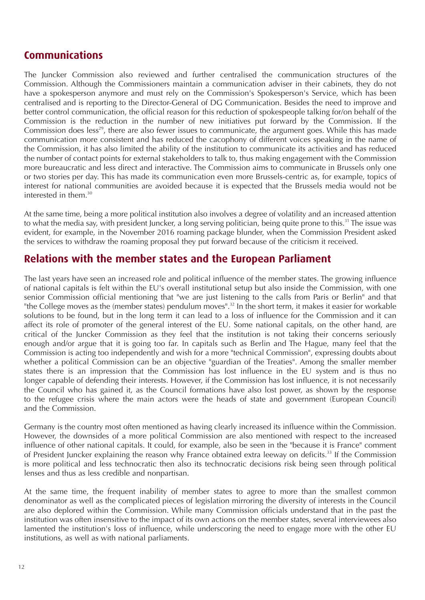## **Communications**

The Juncker Commission also reviewed and further centralised the communication structures of the Commission. Although the Commissioners maintain a communication adviser in their cabinets, they do not have a spokesperson anymore and must rely on the Commission's Spokesperson's Service, which has been centralised and is reporting to the Director-General of DG Communication. Besides the need to improve and better control communication, the official reason for this reduction of spokespeople talking for/on behalf of the Commission is the reduction in the number of new initiatives put forward by the Commission. If the Commission does less<sup>29</sup>, there are also fewer issues to communicate, the argument goes. While this has made communication more consistent and has reduced the cacophony of different voices speaking in the name of the Commission, it has also limited the ability of the institution to communicate its activities and has reduced the number of contact points for external stakeholders to talk to, thus making engagement with the Commission more bureaucratic and less direct and interactive. The Commission aims to communicate in Brussels only one or two stories per day. This has made its communication even more Brussels-centric as, for example, topics of interest for national communities are avoided because it is expected that the Brussels media would not be interested in them  $30$ 

At the same time, being a more political institution also involves a degree of volatility and an increased attention to what the media say, with president Juncker, a long serving politician, being quite prone to this.<sup>31</sup> The issue was evident, for example, in the November 2016 roaming package blunder, when the Commission President asked the services to withdraw the roaming proposal they put forward because of the criticism it received.

## **Relations with the member states and the European Parliament**

The last years have seen an increased role and political influence of the member states. The growing influence of national capitals is felt within the EU's overall institutional setup but also inside the Commission, with one senior Commission official mentioning that "we are just listening to the calls from Paris or Berlin" and that "the College moves as the (member states) pendulum moves".<sup>32</sup> In the short term, it makes it easier for workable solutions to be found, but in the long term it can lead to a loss of influence for the Commission and it can affect its role of promoter of the general interest of the EU. Some national capitals, on the other hand, are critical of the Juncker Commission as they feel that the institution is not taking their concerns seriously enough and/or argue that it is going too far. In capitals such as Berlin and The Hague, many feel that the Commission is acting too independently and wish for a more "technical Commission", expressing doubts about whether a political Commission can be an objective "guardian of the Treaties". Among the smaller member states there is an impression that the Commission has lost influence in the EU system and is thus no longer capable of defending their interests. However, if the Commission has lost influence, it is not necessarily the Council who has gained it, as the Council formations have also lost power, as shown by the response to the refugee crisis where the main actors were the heads of state and government (European Council) and the Commission.

Germany is the country most often mentioned as having clearly increased its influence within the Commission. However, the downsides of a more political Commission are also mentioned with respect to the increased influence of other national capitals. It could, for example, also be seen in the "because it is France" comment of President Juncker explaining the reason why France obtained extra leeway on deficits.<sup>33</sup> If the Commission is more political and less technocratic then also its technocratic decisions risk being seen through political lenses and thus as less credible and nonpartisan.

At the same time, the frequent inability of member states to agree to more than the smallest common denominator as well as the complicated pieces of legislation mirroring the diversity of interests in the Council are also deplored within the Commission. While many Commission officials understand that in the past the institution was often insensitive to the impact of its own actions on the member states, several interviewees also lamented the institution's loss of influence, while underscoring the need to engage more with the other EU institutions, as well as with national parliaments.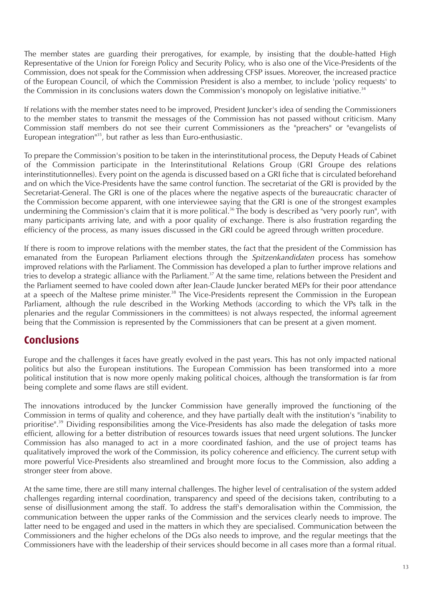The member states are guarding their prerogatives, for example, by insisting that the double-hatted High Representative of the Union for Foreign Policy and Security Policy, who is also one of the Vice-Presidents of the Commission, does not speak for the Commission when addressing CFSP issues. Moreover, the increased practice of the European Council, of which the Commission President is also a member, to include 'policy requests' to the Commission in its conclusions waters down the Commission's monopoly on legislative initiative.<sup>34</sup>

If relations with the member states need to be improved, President Juncker's idea of sending the Commissioners to the member states to transmit the messages of the Commission has not passed without criticism. Many Commission staff members do not see their current Commissioners as the "preachers" or "evangelists of European integration<sup>135</sup>, but rather as less than Euro-enthusiastic.

To prepare the Commission's position to be taken in the interinstitutional process, the Deputy Heads of Cabinet of the Commission participate in the Interinstitutional Relations Group (GRI Groupe des relations interinstitutionnelles). Every point on the agenda is discussed based on a GRI fiche that is circulated beforehand and on which the Vice-Presidents have the same control function. The secretariat of the GRI is provided by the Secretariat-General. The GRI is one of the places where the negative aspects of the bureaucratic character of the Commission become apparent, with one interviewee saying that the GRI is one of the strongest examples undermining the Commission's claim that it is more political.<sup>36</sup> The body is described as "very poorly run", with many participants arriving late, and with a poor quality of exchange. There is also frustration regarding the efficiency of the process, as many issues discussed in the GRI could be agreed through written procedure.

If there is room to improve relations with the member states, the fact that the president of the Commission has emanated from the European Parliament elections through the Spitzenkandidaten process has somehow improved relations with the Parliament. The Commission has developed a plan to further improve relations and tries to develop a strategic alliance with the Parliament.<sup>37</sup> At the same time, relations between the President and the Parliament seemed to have cooled down after Jean-Claude Juncker berated MEPs for their poor attendance at a speech of the Maltese prime minister.<sup>38</sup> The Vice-Presidents represent the Commission in the European Parliament, although the rule described in the Working Methods (according to which the VPs talk in the plenaries and the regular Commissioners in the committees) is not always respected, the informal agreement being that the Commission is represented by the Commissioners that can be present at a given moment.

## **Conclusions**

Europe and the challenges it faces have greatly evolved in the past years. This has not only impacted national politics but also the European institutions. The European Commission has been transformed into a more political institution that is now more openly making political choices, although the transformation is far from being complete and some flaws are still evident.

The innovations introduced by the Juncker Commission have generally improved the functioning of the Commission in terms of quality and coherence, and they have partially dealt with the institution's "inability to prioritise".<sup>39</sup> Dividing responsibilities among the Vice-Presidents has also made the delegation of tasks more efficient, allowing for a better distribution of resources towards issues that need urgent solutions. The Juncker Commission has also managed to act in a more coordinated fashion, and the use of project teams has qualitatively improved the work of the Commission, its policy coherence and efficiency. The current setup with more powerful Vice-Presidents also streamlined and brought more focus to the Commission, also adding a stronger steer from above.

At the same time, there are still many internal challenges. The higher level of centralisation of the system added challenges regarding internal coordination, transparency and speed of the decisions taken, contributing to a sense of disillusionment among the staff. To address the staff's demoralisation within the Commission, the communication between the upper ranks of the Commission and the services clearly needs to improve. The latter need to be engaged and used in the matters in which they are specialised. Communication between the Commissioners and the higher echelons of the DGs also needs to improve, and the regular meetings that the Commissioners have with the leadership of their services should become in all cases more than a formal ritual.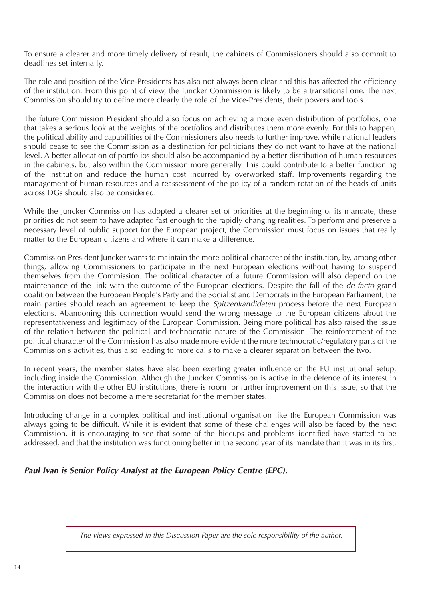To ensure a clearer and more timely delivery of result, the cabinets of Commissioners should also commit to deadlines set internally.

The role and position of the Vice-Presidents has also not always been clear and this has affected the efficiency of the institution. From this point of view, the Juncker Commission is likely to be a transitional one. The next Commission should try to define more clearly the role of the Vice-Presidents, their powers and tools.

The future Commission President should also focus on achieving a more even distribution of portfolios, one that takes a serious look at the weights of the portfolios and distributes them more evenly. For this to happen, the political ability and capabilities of the Commissioners also needs to further improve, while national leaders should cease to see the Commission as a destination for politicians they do not want to have at the national level. A better allocation of portfolios should also be accompanied by a better distribution of human resources in the cabinets, but also within the Commission more generally. This could contribute to a better functioning of the institution and reduce the human cost incurred by overworked staff. Improvements regarding the management of human resources and a reassessment of the policy of a random rotation of the heads of units across DGs should also be considered.

While the Juncker Commission has adopted a clearer set of priorities at the beginning of its mandate, these priorities do not seem to have adapted fast enough to the rapidly changing realities. To perform and preserve a necessary level of public support for the European project, the Commission must focus on issues that really matter to the European citizens and where it can make a difference.

Commission President Juncker wants to maintain the more political character of the institution, by, among other things, allowing Commissioners to participate in the next European elections without having to suspend themselves from the Commission. The political character of a future Commission will also depend on the maintenance of the link with the outcome of the European elections. Despite the fall of the de facto grand coalition between the European People's Party and the Socialist and Democrats in the European Parliament, the main parties should reach an agreement to keep the *Spitzenkandidaten* process before the next European elections. Abandoning this connection would send the wrong message to the European citizens about the representativeness and legitimacy of the European Commission. Being more political has also raised the issue of the relation between the political and technocratic nature of the Commission. The reinforcement of the political character of the Commission has also made more evident the more technocratic/regulatory parts of the Commission's activities, thus also leading to more calls to make a clearer separation between the two.

In recent years, the member states have also been exerting greater influence on the EU institutional setup, including inside the Commission. Although the Juncker Commission is active in the defence of its interest in the interaction with the other EU institutions, there is room for further improvement on this issue, so that the Commission does not become a mere secretariat for the member states.

Introducing change in a complex political and institutional organisation like the European Commission was always going to be difficult. While it is evident that some of these challenges will also be faced by the next Commission, it is encouraging to see that some of the hiccups and problems identified have started to be addressed, and that the institution was functioning better in the second year of its mandate than it was in its first.

*Paul Ivan is Senior Policy Analyst at the European Policy Centre (EPC).*

The views expressed in this Discussion Paper are the sole responsibility of the author.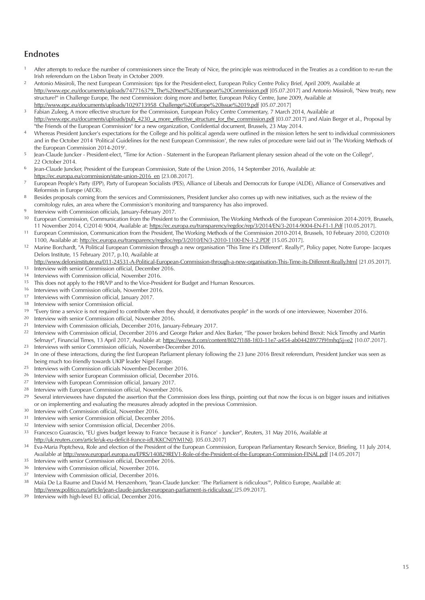#### **Endnotes**

- <sup>1</sup> After attempts to reduce the number of commissioners since the Treaty of Nice, the principle was reintroduced in the Treaties as a condition to re-run the Irish referendum on the Lisbon Treaty in October 2009.
- 2 Antonio Missiroli, The next European Commission: tips for the President-elect, European Policy Centre Policy Brief, April 2009, Available at http://www.epc.eu/documents/uploads/747716379\_The%20next%20European%20Commission.pdf [05.07.2017] and Antonio Missiroli, "New treaty, new structure?" in Challenge Europe, The next Commission: doing more and better, European Policy Centre, June 2009, Available at http://www.epc.eu/documents/uploads/1029713958\_Challenge%20Europe%20Issue%2019.pdf [05.07.2017]
- <sup>3</sup> Fabian Zuleeg, A more effective structure for the Commission, European Policy Centre Commentary, 7 March 2014, Available at http://www.epc.eu/documents/uploads/pub\_4230\_a\_more\_effective\_structure\_for\_the\_commission.pdf [03.07.2017] and Alain Berger et al., Proposal by "the Friends of the European Commission" for a new organization, Confidential document, Brussels, 23 May 2014.
- <sup>4</sup> Whereas President Juncker's expectations for the College and his political agenda were outlined in the mission letters he sent to individual commissioners and in the October 2014 'Political Guidelines for the next European Commission', the new rules of procedure were laid out in 'The Working Methods of the European Commission 2014-2019'.
- <sup>5</sup> Iean-Claude Juncker President-elect, "Time for Action Statement in the European Parliament plenary session ahead of the vote on the College", 22 October 2014.
- 6 Jean-Claude Juncker, President of the European Commission, State of the Union 2016, 14 September 2016, Available at: https://ec.europa.eu/commission/state-union-2016\_en [23.08.2017].
- 7 European People's Party (EPP), Party of European Socialists (PES), Alliance of Liberals and Democrats for Europe (ALDE), Alliance of Conservatives and Reformists in Europe (AECR).
- <sup>8</sup> Besides proposals coming from the services and Commissioners, President Juncker also comes up with new initiatives, such as the review of the comitology rules, an area where the Commission's monitoring and transparency has also improved.
- 9 Interview with Commission officials, January-February 2017.
- <sup>10</sup> European Commission, Communication from the President to the Commission, The Working Methods of the European Commission 2014-2019, Brussels, 11 November 2014, C(2014) 9004, Available at: https://ec.europa.eu/transparency/regdoc/rep/3/2014/EN/3-2014-9004-EN-F1-1.Pdf [10.05.2017].
- 11 European Commission, Communication from the President, The Working Methods of the Commission 2010-2014, Brussels, 10 February 2010, C(2010) 1100, Available at: http://ec.europa.eu/transparency/regdoc/rep/3/2010/EN/3-2010-1100-EN-1-2.PDF [15.05.2017].
- 12 Marine Borchardt, "A Political European Commission through a new organisation "This Time it's Different". Really?", Policy paper, Notre Europe- Jacques Delors Institute, 15 February 2017, p.10, Available at
- http://www.delorsinstitute.eu/011-24531-A-Political-European-Commission-through-a-new-organisation-This-Time-its-Different-Really.html [21.05.2017]. <sup>13</sup> Interview with senior Commission official, December 2016.<br><sup>14</sup> Interviews with Commission official, Nevember 2016.
- Interviews with Commission official, November 2016.
- <sup>15</sup> This does not apply to the HR/VP and to the Vice-President for Budget and Human Resources.
- <sup>16</sup> Interviews with Commission officials, November 2016.<br><sup>17</sup> Interviews with Commission official January 2017
- Interviews with Commission official, January 2017.
- 18 Interview with senior Commission official.
- <sup>19</sup> "Every time a service is not required to contribute when they should, it demotivates people" in the words of one interviewee, November 2016.<br><sup>20</sup> Interview with sonier Commission official November 2016.
- Interview with senior Commission official, November 2016.
- 21 Interview with Commission officials, December 2016, January-February 2017.
- Interview with Commission official, December 2016 and George Parker and Alex Barker, "The power brokers behind Brexit: Nick Timothy and Martin Selmayr", Financial Times, 13 April 2017, Available at: https://www.ft.com/content/8027f188-1f03-11e7-a454-ab04428977f9?mhq5j=e2 [10.07.2017].
- <sup>23</sup> Interviews with senior Commission officials, November-December 2016.<br><sup>24</sup> In one of these interactions during the first European Parliament plenant is In one of these interactions, during the first European Parliament plenary following the 23 June 2016 Brexit referendum, President Juncker was seen as being much too friendly towards UKIP leader Nigel Farage.
- 25 Interviews with Commission officials November-December 2016.
- <sup>26</sup> Interview with senior European Commission official, December 2016.<br><sup>27</sup> Interview with European Commission official, January 2017
- 27 Interview with European Commission official, January 2017.
- <sup>28</sup> Interview with European Commission official, November 2016.<br><sup>29</sup> Souscel interviewees have disputed the assertion that the Comm
- Several interviewees have disputed the assertion that the Commission does less things, pointing out that now the focus is on bigger issues and initiatives or on implementing and evaluating the measures already adopted in the previous Commission.
- <sup>30</sup> Interview with Commission official, November 2016.<br><sup>31</sup> Interview with senior Commission official, December
- Interview with senior Commission official, December 2016.
- $32$  Interview with senior Commission official, December 2016.<br> $33$  Francesco Guarascio "ELL gives budget leeway to France the
- 33 Francesco Guarascio, "EU gives budget leeway to France 'because it is France' Juncker", Reuters, 31 May 2016, Available at http://uk.reuters.com/article/uk-eu-deficit-france-idUKKCN0YM1N0, [05.03.2017]
- <sup>34</sup> Eva-Maria Poptcheva, Role and election of the President of the European Commission, European Parliamentary Research Service, Briefing, 11 July 2014, Available at http://www.europarl.europa.eu/EPRS/140829REV1-Role-of-the-President-of-the-European-Commission-FINAL.pdf [14.05.2017]
- <sup>35</sup> Interview with senior Commission official, December 2016.
- $36$  Interview with Commission official, November 2016.
- <sup>37</sup> Interview with Commission official, December 2016.<br><sup>38</sup> Maïa Do La Baume and David M. Horrzophorn "Joan
- 38 Maïa De La Baume and David M. Herszenhorn, "Jean-Claude Juncker: 'The Parliament is ridiculous'", Politico Europe, Available at: http://www.politico.eu/article/jean-claude-juncker-european-parliament-is-ridiculous/ [25.09.2017].
- 39 Interview with high-level EU official, December 2016.